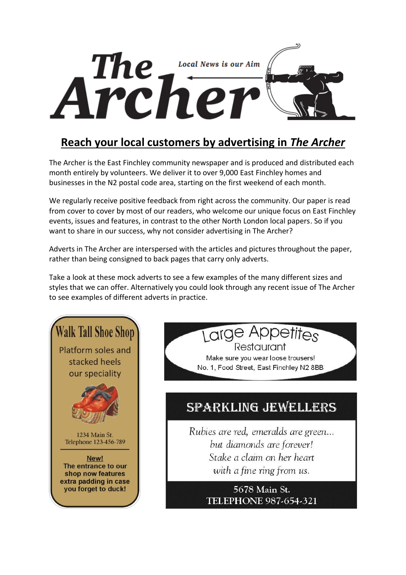

## **Reach your local customers by advertising in** *The Archer*

The Archer is the East Finchley community newspaper and is produced and distributed each month entirely by volunteers. We deliver it to over 9,000 East Finchley homes and businesses in the N2 postal code area, starting on the first weekend of each month.

We regularly receive positive feedback from right across the community. Our paper is read from cover to cover by most of our readers, who welcome our unique focus on East Finchley events, issues and features, in contrast to the other North London local papers. So if you want to share in our success, why not consider advertising in The Archer?

Adverts in The Archer are interspersed with the articles and pictures throughout the paper, rather than being consigned to back pages that carry only adverts.

Take a look at these mock adverts to see a few examples of the many different sizes and styles that we can offer. Alternatively you could look through any recent issue of The Archer to see examples of different adverts in practice.



Large Appetites Restaurant

Make sure you wear loose trousers! No. 1, Food Street, East Finchley N2 8BB

## **SPARKLING JEWELLERS**

Rubies are red, emeralds are green... but diamonds are forever! Stake a claim on her heart with a fine ring from us.

> 5678 Main St. **TELEPHONE 987-654-321**